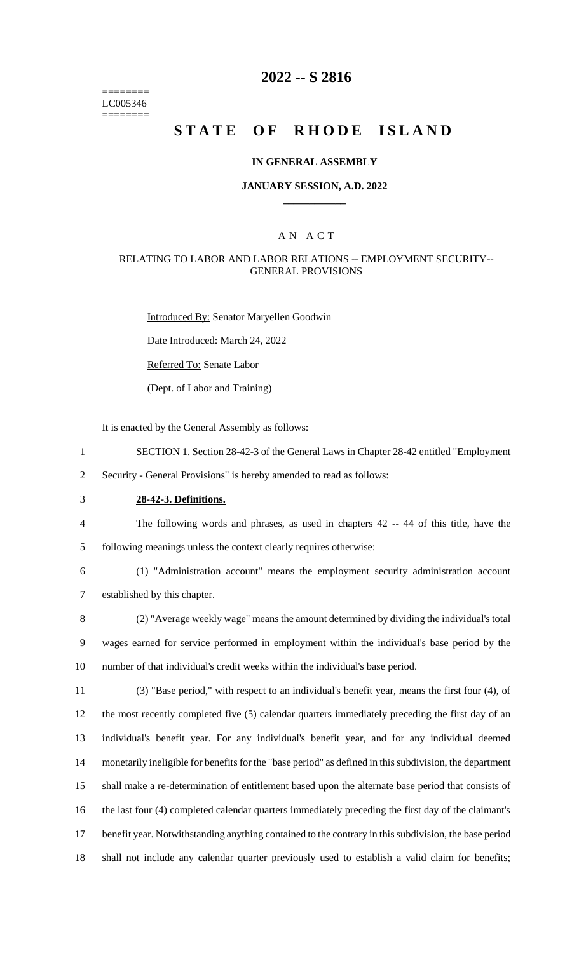======== LC005346 ========

# **2022 -- S 2816**

# **STATE OF RHODE ISLAND**

#### **IN GENERAL ASSEMBLY**

### **JANUARY SESSION, A.D. 2022 \_\_\_\_\_\_\_\_\_\_\_\_**

### A N A C T

#### RELATING TO LABOR AND LABOR RELATIONS -- EMPLOYMENT SECURITY-- GENERAL PROVISIONS

Introduced By: Senator Maryellen Goodwin

Date Introduced: March 24, 2022

Referred To: Senate Labor

(Dept. of Labor and Training)

It is enacted by the General Assembly as follows:

- 1 SECTION 1. Section 28-42-3 of the General Laws in Chapter 28-42 entitled "Employment
- 2 Security General Provisions" is hereby amended to read as follows:
- 3 **28-42-3. Definitions.**
- 4 The following words and phrases, as used in chapters 42 -- 44 of this title, have the

5 following meanings unless the context clearly requires otherwise:

6 (1) "Administration account" means the employment security administration account 7 established by this chapter.

8 (2) "Average weekly wage" means the amount determined by dividing the individual's total 9 wages earned for service performed in employment within the individual's base period by the 10 number of that individual's credit weeks within the individual's base period.

 (3) "Base period," with respect to an individual's benefit year, means the first four (4), of the most recently completed five (5) calendar quarters immediately preceding the first day of an individual's benefit year. For any individual's benefit year, and for any individual deemed monetarily ineligible for benefits for the "base period" as defined in this subdivision, the department shall make a re-determination of entitlement based upon the alternate base period that consists of the last four (4) completed calendar quarters immediately preceding the first day of the claimant's benefit year. Notwithstanding anything contained to the contrary in this subdivision, the base period shall not include any calendar quarter previously used to establish a valid claim for benefits;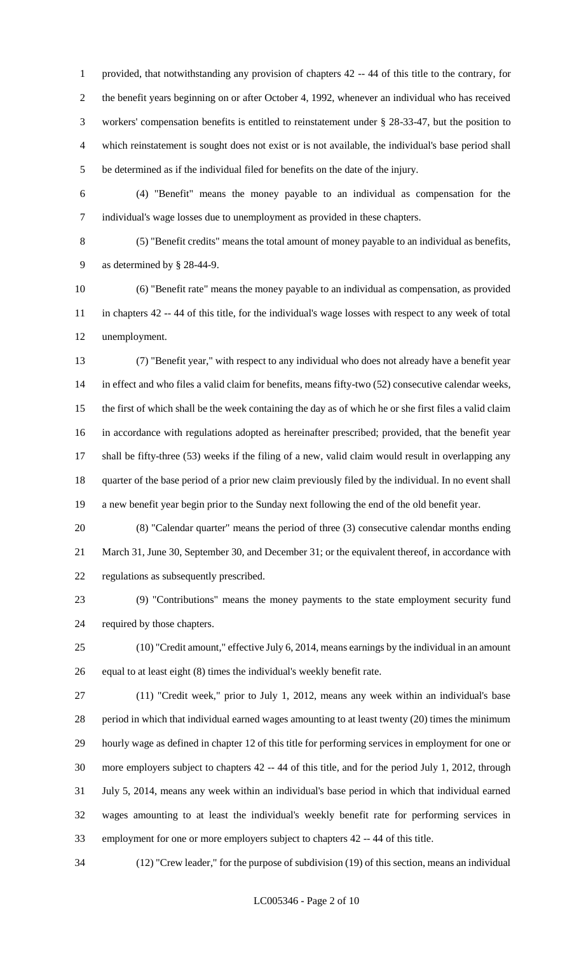provided, that notwithstanding any provision of chapters 42 -- 44 of this title to the contrary, for the benefit years beginning on or after October 4, 1992, whenever an individual who has received workers' compensation benefits is entitled to reinstatement under § 28-33-47, but the position to which reinstatement is sought does not exist or is not available, the individual's base period shall be determined as if the individual filed for benefits on the date of the injury.

 (4) "Benefit" means the money payable to an individual as compensation for the individual's wage losses due to unemployment as provided in these chapters.

 (5) "Benefit credits" means the total amount of money payable to an individual as benefits, as determined by § 28-44-9.

 (6) "Benefit rate" means the money payable to an individual as compensation, as provided in chapters 42 -- 44 of this title, for the individual's wage losses with respect to any week of total unemployment.

 (7) "Benefit year," with respect to any individual who does not already have a benefit year in effect and who files a valid claim for benefits, means fifty-two (52) consecutive calendar weeks, the first of which shall be the week containing the day as of which he or she first files a valid claim in accordance with regulations adopted as hereinafter prescribed; provided, that the benefit year shall be fifty-three (53) weeks if the filing of a new, valid claim would result in overlapping any quarter of the base period of a prior new claim previously filed by the individual. In no event shall a new benefit year begin prior to the Sunday next following the end of the old benefit year.

 (8) "Calendar quarter" means the period of three (3) consecutive calendar months ending March 31, June 30, September 30, and December 31; or the equivalent thereof, in accordance with regulations as subsequently prescribed.

 (9) "Contributions" means the money payments to the state employment security fund required by those chapters.

 (10) "Credit amount," effective July 6, 2014, means earnings by the individual in an amount equal to at least eight (8) times the individual's weekly benefit rate.

 (11) "Credit week," prior to July 1, 2012, means any week within an individual's base period in which that individual earned wages amounting to at least twenty (20) times the minimum hourly wage as defined in chapter 12 of this title for performing services in employment for one or more employers subject to chapters 42 -- 44 of this title, and for the period July 1, 2012, through July 5, 2014, means any week within an individual's base period in which that individual earned wages amounting to at least the individual's weekly benefit rate for performing services in employment for one or more employers subject to chapters 42 -- 44 of this title.

(12) "Crew leader," for the purpose of subdivision (19) of this section, means an individual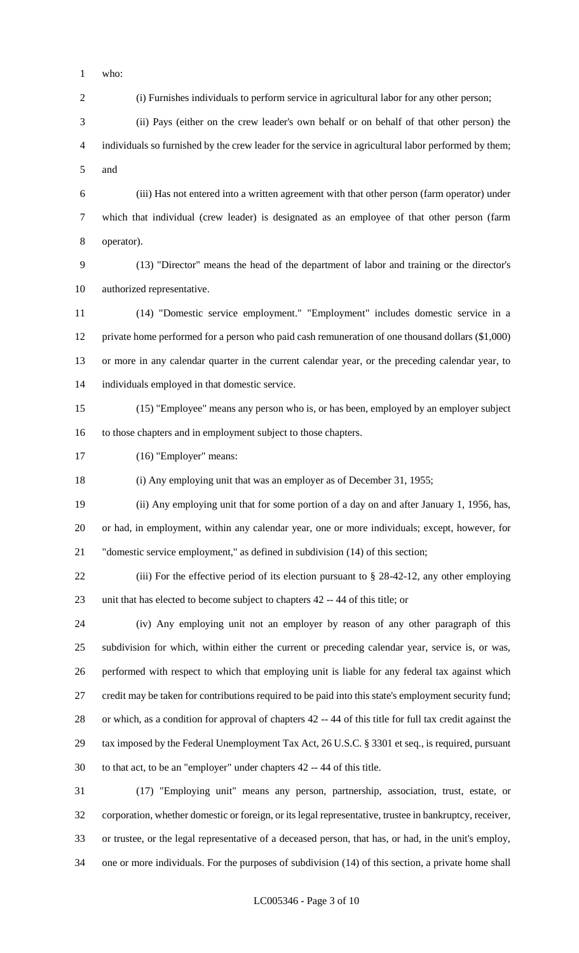who:

(i) Furnishes individuals to perform service in agricultural labor for any other person;

 (ii) Pays (either on the crew leader's own behalf or on behalf of that other person) the individuals so furnished by the crew leader for the service in agricultural labor performed by them; and

 (iii) Has not entered into a written agreement with that other person (farm operator) under which that individual (crew leader) is designated as an employee of that other person (farm operator).

 (13) "Director" means the head of the department of labor and training or the director's authorized representative.

 (14) "Domestic service employment." "Employment" includes domestic service in a private home performed for a person who paid cash remuneration of one thousand dollars (\$1,000) or more in any calendar quarter in the current calendar year, or the preceding calendar year, to individuals employed in that domestic service.

 (15) "Employee" means any person who is, or has been, employed by an employer subject to those chapters and in employment subject to those chapters.

(16) "Employer" means:

(i) Any employing unit that was an employer as of December 31, 1955;

 (ii) Any employing unit that for some portion of a day on and after January 1, 1956, has, or had, in employment, within any calendar year, one or more individuals; except, however, for "domestic service employment," as defined in subdivision (14) of this section;

 (iii) For the effective period of its election pursuant to § 28-42-12, any other employing unit that has elected to become subject to chapters 42 -- 44 of this title; or

 (iv) Any employing unit not an employer by reason of any other paragraph of this subdivision for which, within either the current or preceding calendar year, service is, or was, performed with respect to which that employing unit is liable for any federal tax against which credit may be taken for contributions required to be paid into this state's employment security fund; or which, as a condition for approval of chapters 42 -- 44 of this title for full tax credit against the tax imposed by the Federal Unemployment Tax Act, 26 U.S.C. § 3301 et seq., is required, pursuant to that act, to be an "employer" under chapters 42 -- 44 of this title.

 (17) "Employing unit" means any person, partnership, association, trust, estate, or corporation, whether domestic or foreign, or its legal representative, trustee in bankruptcy, receiver, or trustee, or the legal representative of a deceased person, that has, or had, in the unit's employ, one or more individuals. For the purposes of subdivision (14) of this section, a private home shall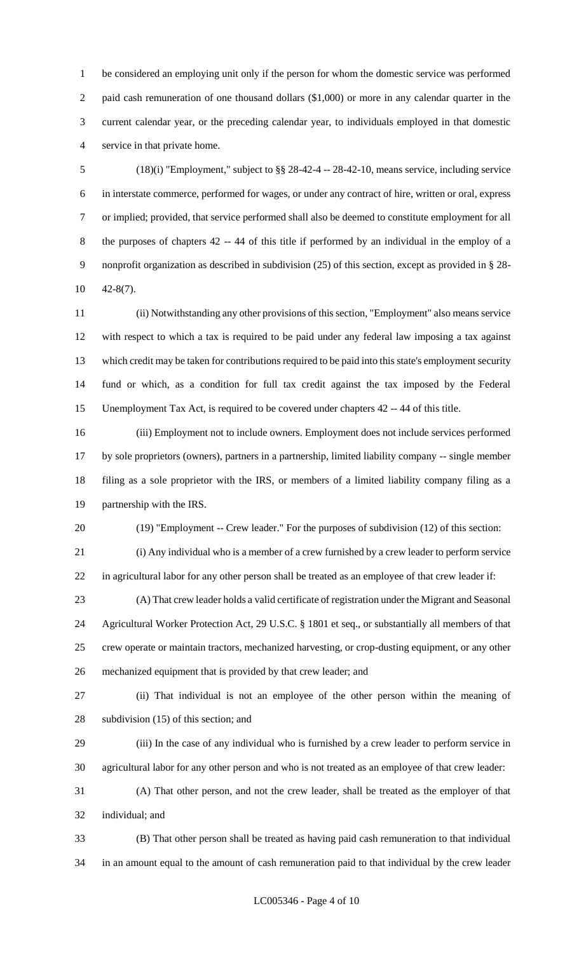be considered an employing unit only if the person for whom the domestic service was performed paid cash remuneration of one thousand dollars (\$1,000) or more in any calendar quarter in the current calendar year, or the preceding calendar year, to individuals employed in that domestic service in that private home.

 (18)(i) "Employment," subject to §§ 28-42-4 -- 28-42-10, means service, including service in interstate commerce, performed for wages, or under any contract of hire, written or oral, express or implied; provided, that service performed shall also be deemed to constitute employment for all the purposes of chapters 42 -- 44 of this title if performed by an individual in the employ of a nonprofit organization as described in subdivision (25) of this section, except as provided in § 28- 42-8(7).

 (ii) Notwithstanding any other provisions of this section, "Employment" also means service with respect to which a tax is required to be paid under any federal law imposing a tax against which credit may be taken for contributions required to be paid into this state's employment security fund or which, as a condition for full tax credit against the tax imposed by the Federal Unemployment Tax Act, is required to be covered under chapters 42 -- 44 of this title.

 (iii) Employment not to include owners. Employment does not include services performed by sole proprietors (owners), partners in a partnership, limited liability company -- single member filing as a sole proprietor with the IRS, or members of a limited liability company filing as a partnership with the IRS.

(19) "Employment -- Crew leader." For the purposes of subdivision (12) of this section:

(i) Any individual who is a member of a crew furnished by a crew leader to perform service

in agricultural labor for any other person shall be treated as an employee of that crew leader if:

 (A) That crew leader holds a valid certificate of registration under the Migrant and Seasonal Agricultural Worker Protection Act, 29 U.S.C. § 1801 et seq., or substantially all members of that crew operate or maintain tractors, mechanized harvesting, or crop-dusting equipment, or any other mechanized equipment that is provided by that crew leader; and

 (ii) That individual is not an employee of the other person within the meaning of subdivision (15) of this section; and

 (iii) In the case of any individual who is furnished by a crew leader to perform service in agricultural labor for any other person and who is not treated as an employee of that crew leader:

 (A) That other person, and not the crew leader, shall be treated as the employer of that individual; and

 (B) That other person shall be treated as having paid cash remuneration to that individual in an amount equal to the amount of cash remuneration paid to that individual by the crew leader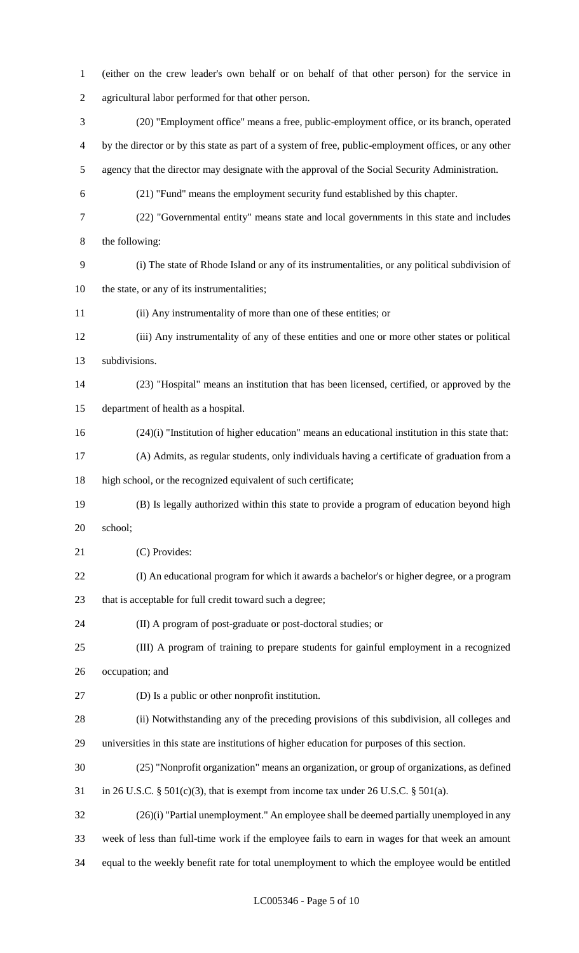| $\mathbf{1}$   | (either on the crew leader's own behalf or on behalf of that other person) for the service in         |
|----------------|-------------------------------------------------------------------------------------------------------|
| $\overline{2}$ | agricultural labor performed for that other person.                                                   |
| 3              | (20) "Employment office" means a free, public-employment office, or its branch, operated              |
| 4              | by the director or by this state as part of a system of free, public-employment offices, or any other |
| 5              | agency that the director may designate with the approval of the Social Security Administration.       |
| 6              | (21) "Fund" means the employment security fund established by this chapter.                           |
| $\tau$         | (22) "Governmental entity" means state and local governments in this state and includes               |
| 8              | the following:                                                                                        |
| 9              | (i) The state of Rhode Island or any of its instrumentalities, or any political subdivision of        |
| 10             | the state, or any of its instrumentalities;                                                           |
| 11             | (ii) Any instrumentality of more than one of these entities; or                                       |
| 12             | (iii) Any instrumentality of any of these entities and one or more other states or political          |
| 13             | subdivisions.                                                                                         |
| 14             | (23) "Hospital" means an institution that has been licensed, certified, or approved by the            |
| 15             | department of health as a hospital.                                                                   |
| 16             | $(24)(i)$ "Institution of higher education" means an educational institution in this state that:      |
| 17             | (A) Admits, as regular students, only individuals having a certificate of graduation from a           |
| 18             | high school, or the recognized equivalent of such certificate;                                        |
| 19             | (B) Is legally authorized within this state to provide a program of education beyond high             |
| 20             | school;                                                                                               |
| 21             | (C) Provides:                                                                                         |
| 22             | (I) An educational program for which it awards a bachelor's or higher degree, or a program            |
| 23             | that is acceptable for full credit toward such a degree;                                              |
| 24             | (II) A program of post-graduate or post-doctoral studies; or                                          |
| 25             | (III) A program of training to prepare students for gainful employment in a recognized                |
| 26             | occupation; and                                                                                       |
| 27             | (D) Is a public or other nonprofit institution.                                                       |
| 28             | (ii) Notwithstanding any of the preceding provisions of this subdivision, all colleges and            |
| 29             | universities in this state are institutions of higher education for purposes of this section.         |
| 30             | (25) "Nonprofit organization" means an organization, or group of organizations, as defined            |
| 31             | in 26 U.S.C. $\S$ 501(c)(3), that is exempt from income tax under 26 U.S.C. $\S$ 501(a).              |
| 32             | (26)(i) "Partial unemployment." An employee shall be deemed partially unemployed in any               |
| 33             | week of less than full-time work if the employee fails to earn in wages for that week an amount       |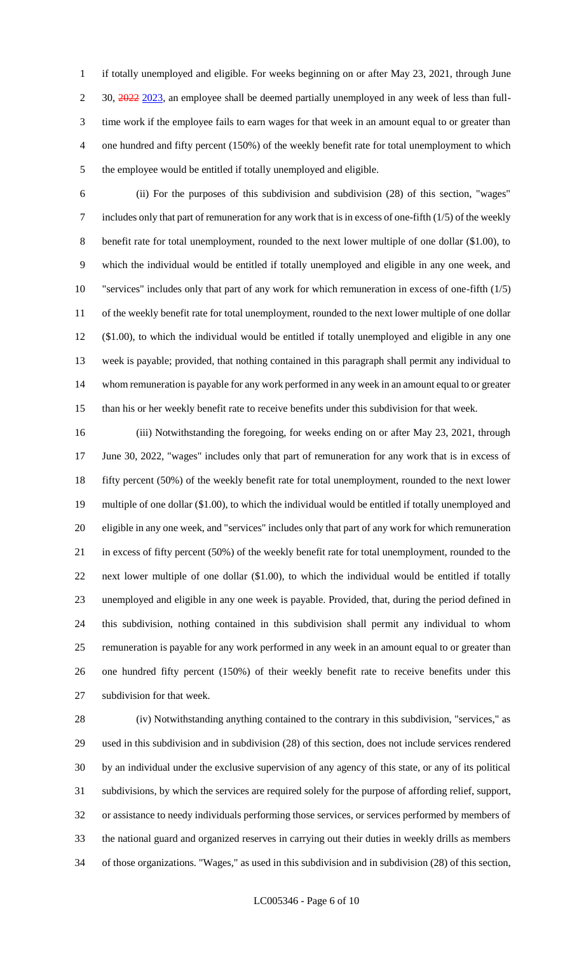if totally unemployed and eligible. For weeks beginning on or after May 23, 2021, through June 2 30, 2022 2023, an employee shall be deemed partially unemployed in any week of less than full- time work if the employee fails to earn wages for that week in an amount equal to or greater than one hundred and fifty percent (150%) of the weekly benefit rate for total unemployment to which the employee would be entitled if totally unemployed and eligible.

 (ii) For the purposes of this subdivision and subdivision (28) of this section, "wages" includes only that part of remuneration for any work that is in excess of one-fifth (1/5) of the weekly benefit rate for total unemployment, rounded to the next lower multiple of one dollar (\$1.00), to which the individual would be entitled if totally unemployed and eligible in any one week, and "services" includes only that part of any work for which remuneration in excess of one-fifth (1/5) of the weekly benefit rate for total unemployment, rounded to the next lower multiple of one dollar (\$1.00), to which the individual would be entitled if totally unemployed and eligible in any one week is payable; provided, that nothing contained in this paragraph shall permit any individual to whom remuneration is payable for any work performed in any week in an amount equal to or greater than his or her weekly benefit rate to receive benefits under this subdivision for that week.

 (iii) Notwithstanding the foregoing, for weeks ending on or after May 23, 2021, through June 30, 2022, "wages" includes only that part of remuneration for any work that is in excess of fifty percent (50%) of the weekly benefit rate for total unemployment, rounded to the next lower multiple of one dollar (\$1.00), to which the individual would be entitled if totally unemployed and eligible in any one week, and "services" includes only that part of any work for which remuneration in excess of fifty percent (50%) of the weekly benefit rate for total unemployment, rounded to the next lower multiple of one dollar (\$1.00), to which the individual would be entitled if totally unemployed and eligible in any one week is payable. Provided, that, during the period defined in this subdivision, nothing contained in this subdivision shall permit any individual to whom remuneration is payable for any work performed in any week in an amount equal to or greater than one hundred fifty percent (150%) of their weekly benefit rate to receive benefits under this subdivision for that week.

 (iv) Notwithstanding anything contained to the contrary in this subdivision, "services," as used in this subdivision and in subdivision (28) of this section, does not include services rendered by an individual under the exclusive supervision of any agency of this state, or any of its political subdivisions, by which the services are required solely for the purpose of affording relief, support, or assistance to needy individuals performing those services, or services performed by members of the national guard and organized reserves in carrying out their duties in weekly drills as members of those organizations. "Wages," as used in this subdivision and in subdivision (28) of this section,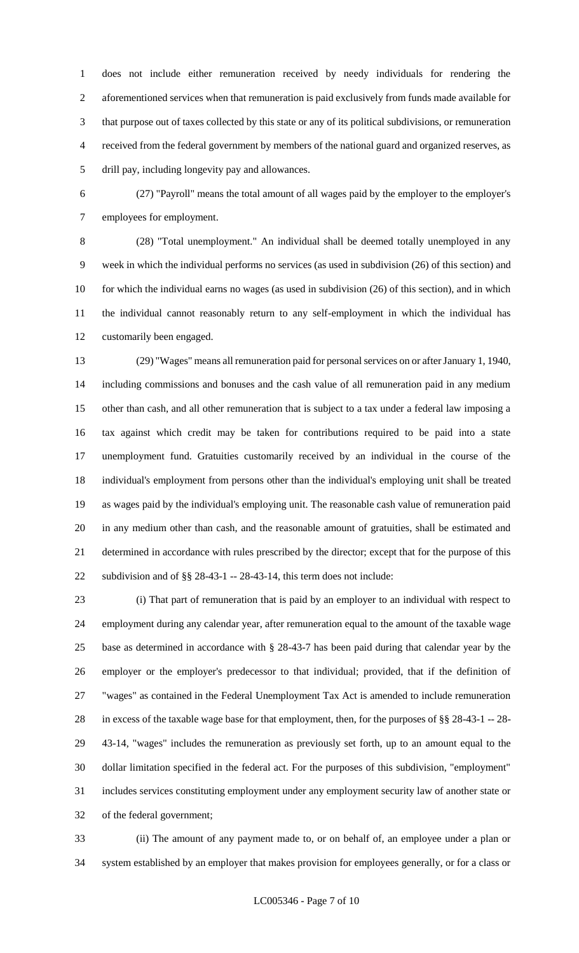does not include either remuneration received by needy individuals for rendering the aforementioned services when that remuneration is paid exclusively from funds made available for that purpose out of taxes collected by this state or any of its political subdivisions, or remuneration received from the federal government by members of the national guard and organized reserves, as drill pay, including longevity pay and allowances.

 (27) "Payroll" means the total amount of all wages paid by the employer to the employer's employees for employment.

 (28) "Total unemployment." An individual shall be deemed totally unemployed in any week in which the individual performs no services (as used in subdivision (26) of this section) and for which the individual earns no wages (as used in subdivision (26) of this section), and in which the individual cannot reasonably return to any self-employment in which the individual has customarily been engaged.

 (29) "Wages" means all remuneration paid for personal services on or after January 1, 1940, including commissions and bonuses and the cash value of all remuneration paid in any medium other than cash, and all other remuneration that is subject to a tax under a federal law imposing a tax against which credit may be taken for contributions required to be paid into a state unemployment fund. Gratuities customarily received by an individual in the course of the individual's employment from persons other than the individual's employing unit shall be treated as wages paid by the individual's employing unit. The reasonable cash value of remuneration paid in any medium other than cash, and the reasonable amount of gratuities, shall be estimated and determined in accordance with rules prescribed by the director; except that for the purpose of this subdivision and of §§ 28-43-1 -- 28-43-14, this term does not include:

 (i) That part of remuneration that is paid by an employer to an individual with respect to employment during any calendar year, after remuneration equal to the amount of the taxable wage base as determined in accordance with § 28-43-7 has been paid during that calendar year by the employer or the employer's predecessor to that individual; provided, that if the definition of "wages" as contained in the Federal Unemployment Tax Act is amended to include remuneration in excess of the taxable wage base for that employment, then, for the purposes of §§ 28-43-1 -- 28- 43-14, "wages" includes the remuneration as previously set forth, up to an amount equal to the dollar limitation specified in the federal act. For the purposes of this subdivision, "employment" includes services constituting employment under any employment security law of another state or of the federal government;

 (ii) The amount of any payment made to, or on behalf of, an employee under a plan or system established by an employer that makes provision for employees generally, or for a class or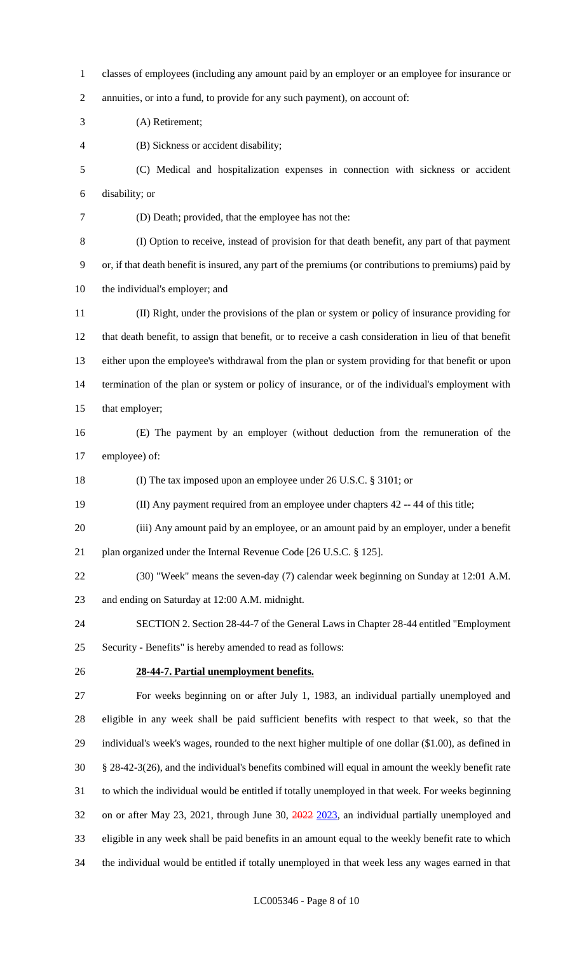classes of employees (including any amount paid by an employer or an employee for insurance or annuities, or into a fund, to provide for any such payment), on account of: (A) Retirement; (B) Sickness or accident disability; (C) Medical and hospitalization expenses in connection with sickness or accident disability; or (D) Death; provided, that the employee has not the: (I) Option to receive, instead of provision for that death benefit, any part of that payment or, if that death benefit is insured, any part of the premiums (or contributions to premiums) paid by the individual's employer; and (II) Right, under the provisions of the plan or system or policy of insurance providing for that death benefit, to assign that benefit, or to receive a cash consideration in lieu of that benefit either upon the employee's withdrawal from the plan or system providing for that benefit or upon termination of the plan or system or policy of insurance, or of the individual's employment with that employer; (E) The payment by an employer (without deduction from the remuneration of the employee) of: (I) The tax imposed upon an employee under 26 U.S.C. § 3101; or (II) Any payment required from an employee under chapters 42 -- 44 of this title; (iii) Any amount paid by an employee, or an amount paid by an employer, under a benefit plan organized under the Internal Revenue Code [26 U.S.C. § 125]. (30) "Week" means the seven-day (7) calendar week beginning on Sunday at 12:01 A.M. and ending on Saturday at 12:00 A.M. midnight. SECTION 2. Section 28-44-7 of the General Laws in Chapter 28-44 entitled "Employment Security - Benefits" is hereby amended to read as follows: **28-44-7. Partial unemployment benefits.** For weeks beginning on or after July 1, 1983, an individual partially unemployed and eligible in any week shall be paid sufficient benefits with respect to that week, so that the individual's week's wages, rounded to the next higher multiple of one dollar (\$1.00), as defined in § 28-42-3(26), and the individual's benefits combined will equal in amount the weekly benefit rate to which the individual would be entitled if totally unemployed in that week. For weeks beginning on or after May 23, 2021, through June 30, 2022 2023, an individual partially unemployed and eligible in any week shall be paid benefits in an amount equal to the weekly benefit rate to which

the individual would be entitled if totally unemployed in that week less any wages earned in that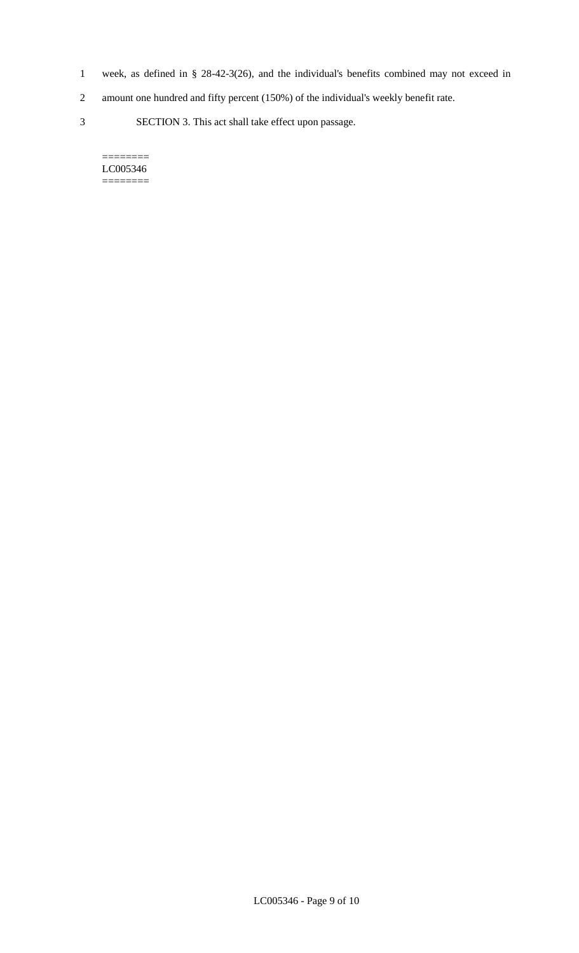- 1 week, as defined in § 28-42-3(26), and the individual's benefits combined may not exceed in
- 2 amount one hundred and fifty percent (150%) of the individual's weekly benefit rate.
- 3 SECTION 3. This act shall take effect upon passage.

#### $=$ LC005346 ========